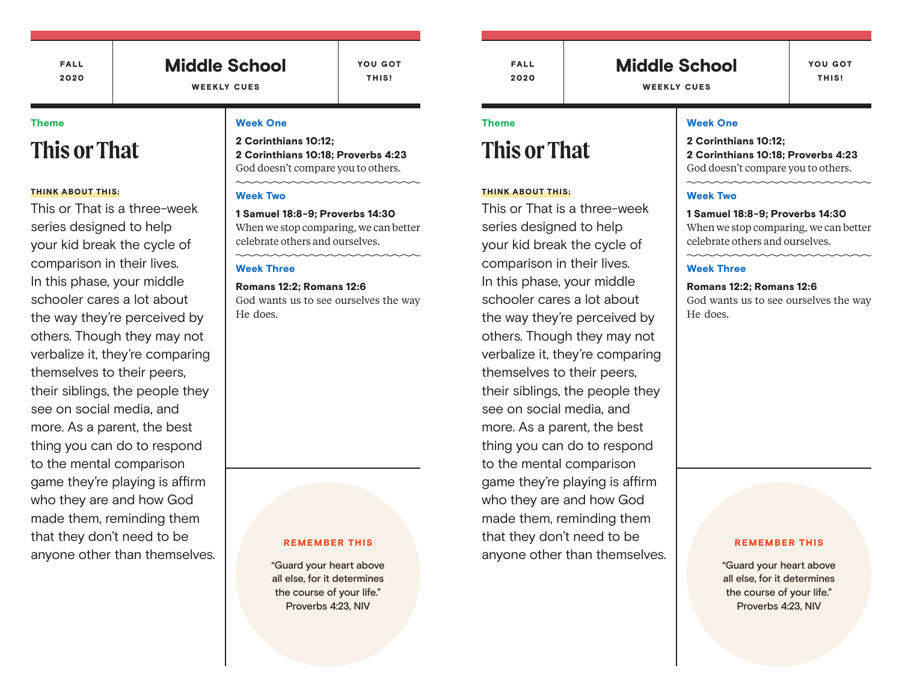FALL 2020

### Middle School WEEKLY CUES

YOU GOT THIS!

#### Theme

# **This or That**

#### THINK ABOUT THIS:

This or That is a three-week series designed to help your kid break the cycle of comparison in their lives. In this phase, your middle schooler cares a lot about the way they're perceived by others. Though they may not verbalize it, they're comparing themselves to their peers, their siblings, the people they see on social media, and more. As a parent, the best thing you can do to respond to the mental comparison game they're playing is affirm who they are and how God made them, reminding them that they don't need to be anyone other than themselves.

#### Week One

2 Corinthians 10:12; 2 Corinthians 10:18; Proverbs 4:23 God doesn't compare you to others.

#### Week Two

1 Samuel 18:8-9; Proverbs 14:30 When we stop comparing, we can better celebrate others and ourselves.

#### Week Three

#### Romans 12:2; Romans 12:6

God wants us to see ourselves the way He does.

#### REMEMBER THIS

"Guard your heart above all else, for it determines the course of your life." Proverbs 4:23, NIV